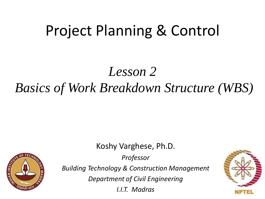# Project Planning & Control

## *Lesson 2 Basics of Work Breakdown Structure (WBS)*

**STAN INSTITUTION** 

Koshy Varghese, Ph.D. *Professor Building Technology & Construction Management Department of Civil Engineering I.I.T. Madras*

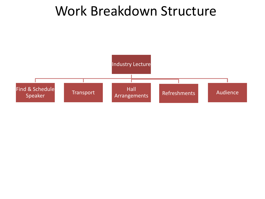### Work Breakdown Structure

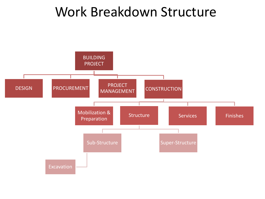### Work Breakdown Structure

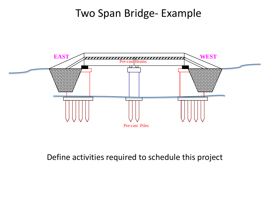#### Two Span Bridge- Example



#### Define activities required to schedule this project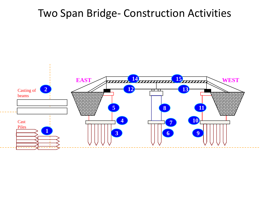#### Two Span Bridge- Construction Activities

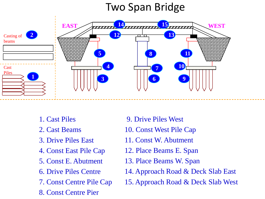### Two Span Bridge



- 1. Cast Piles
- 2. Cast Beams
- 3. Drive Piles East
- 4. Const East Pile Cap
- 5. Const E. Abutment
- 6. Drive Piles Centre
- 7. Const Centre Pile Cap
- 8. Const Centre Pier
- 9. Drive Piles West
- 10. Const West Pile Cap
- 11. Const W. Abutment
- 12. Place Beams E. Span
- 13. Place Beams W. Span
- 14. Approach Road & Deck Slab East
- 15. Approach Road & Deck Slab West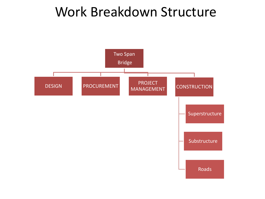### Work Breakdown Structure

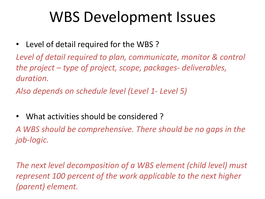# WBS Development Issues

• Level of detail required for the WBS ?

*Level of detail required to plan, communicate, monitor & control the project – type of project, scope, packages- deliverables, duration.* 

*Also depends on schedule level (Level 1- Level 5)*

• What activities should be considered ?

*A WBS should be comprehensive. There should be no gaps in the job-logic.*

*The next level decomposition of a WBS element (child level) must represent 100 percent of the work applicable to the next higher (parent) element.*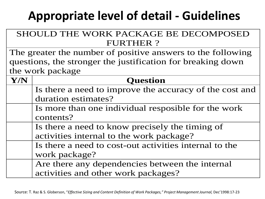### **Appropriate level of detail - Guidelines**

| SHOULD THE WORK PACKAGE BE DECOMPOSED                       |                                                         |  |
|-------------------------------------------------------------|---------------------------------------------------------|--|
| <b>FURTHER?</b>                                             |                                                         |  |
| The greater the number of positive answers to the following |                                                         |  |
| questions, the stronger the justification for breaking down |                                                         |  |
| the work package                                            |                                                         |  |
| Y/N                                                         | <b>Question</b>                                         |  |
|                                                             | Is there a need to improve the accuracy of the cost and |  |
|                                                             | duration estimates?                                     |  |
|                                                             | Is more than one individual resposible for the work     |  |
|                                                             | contents?                                               |  |
|                                                             | Is there a need to know precisely the timing of         |  |
|                                                             | activities internal to the work package?                |  |
|                                                             | Is there a need to cost-out activities internal to the  |  |
|                                                             | work package?                                           |  |
|                                                             | Are there any dependencies between the internal         |  |
|                                                             | activities and other work packages?                     |  |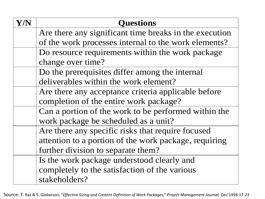| Y/N | <b>Questions</b>                                       |
|-----|--------------------------------------------------------|
|     | Are there any significant time breaks in the execution |
|     | of the work processes internal to the work elements?   |
|     | Do resource requirements within the work package       |
|     | change over time?                                      |
|     | Do the prerequisites differ among the internal         |
|     | deliverables within the work element?                  |
|     | Are there any acceptance criteria applicable before    |
|     | completion of the entire work package?                 |
|     | Can a portion of the work to be performed within the   |
|     | work package be scheduled as a unit?                   |
|     | Are there any specific risks that require focused      |
|     | attention to a portion of the work package, requiring  |
|     | further division to separate them?                     |
|     | Is the work package understood clearly and             |
|     | completely to the satisfaction of the various          |
|     | stakeholders?                                          |